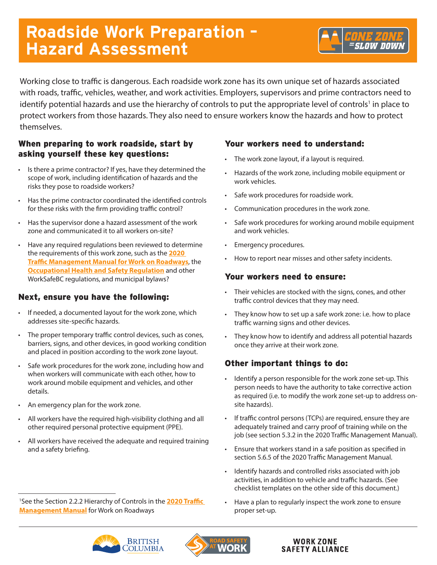# **Roadside Work Preparation – Hazard Assessment**

Working close to traffic is dangerous. Each roadside work zone has its own unique set of hazards associated with roads, traffic, vehicles, weather, and work activities. Employers, supervisors and prime contractors need to identify potential hazards and use the hierarchy of controls to put the appropriate level of controls<sup>1</sup> in place to protect workers from those hazards. They also need to ensure workers know the hazards and how to protect themselves.

### When preparing to work roadside, start by asking yourself these key questions:

- Is there a prime contractor? If yes, have they determined the scope of work, including identification of hazards and the risks they pose to roadside workers?
- Has the prime contractor coordinated the identified controls for these risks with the firm providing traffic control?
- Has the supervisor done a hazard assessment of the work zone and communicated it to all workers on-site?
- Have any required regulations been reviewed to determine the requirements of this work zone, such as the **2020 Traffi[c Management Manual for Work on Roadways](https://www2.gov.bc.ca/gov/content/transportation/transportation-infrastructure/engineering-standards-guidelines/traffic-engineering-safety/trafficmanagementmanual)**, the **Oc[cupational Health and Safety Regulation](https://www.worksafebc.com/en/law-policy/occupational-health-safety/searchable-ohs-regulation/ohs-regulation)** and other WorkSafeBC regulations, and municipal bylaws?

## Next, ensure you have the following:

- If needed, a documented layout for the work zone, which addresses site-specific hazards.
- The proper temporary traffic control devices, such as cones, barriers, signs, and other devices, in good working condition and placed in position according to the work zone layout.
- Safe work procedures for the work zone, including how and when workers will communicate with each other, how to work around mobile equipment and vehicles, and other details.
- An emergency plan for the work zone.
- All workers have the required high-visibility clothing and all other required personal protective equipment (PPE).
- All workers have received the adequate and required training and a safety briefing.

1 See the Section 2.2.2 Hierarchy of Controls in the **[2020 Traffic](https://www2.gov.bc.ca/gov/content/transportation/transportation-infrastructure/engineering-standards-guidelines/traffic-engineering-safety/trafficmanagementmanual) [Management Manual](https://www2.gov.bc.ca/gov/content/transportation/transportation-infrastructure/engineering-standards-guidelines/traffic-engineering-safety/trafficmanagementmanual)** for Work on Roadways

#### Your workers need to understand:

- The work zone layout, if a layout is required.
- Hazards of the work zone, including mobile equipment or work vehicles.
- Safe work procedures for roadside work.
- Communication procedures in the work zone.
- Safe work procedures for working around mobile equipment and work vehicles.
- Emergency procedures.
- How to report near misses and other safety incidents.

#### Your workers need to ensure:

- Their vehicles are stocked with the signs, cones, and other traffic control devices that they may need.
- They know how to set up a safe work zone: i.e. how to place traffic warning signs and other devices.
- They know how to identify and address all potential hazards once they arrive at their work zone.

### Other important things to do:

- Identify a person responsible for the work zone set-up. This person needs to have the authority to take corrective action as required (i.e. to modify the work zone set-up to address onsite hazards).
- If traffic control persons (TCPs) are required, ensure they are adequately trained and carry proof of training while on the job (see section 5.3.2 in the 2020 Traffic Management Manual).
- Ensure that workers stand in a safe position as specified in section 5.6.5 of the 2020 Traffic Management Manual.
- Identify hazards and controlled risks associated with job activities, in addition to vehicle and traffic hazards. (See checklist templates on the other side of this document.)
- Have a plan to regularly inspect the work zone to ensure proper set-up.





#### **WORK ZONE SAFETY ALLIANCE**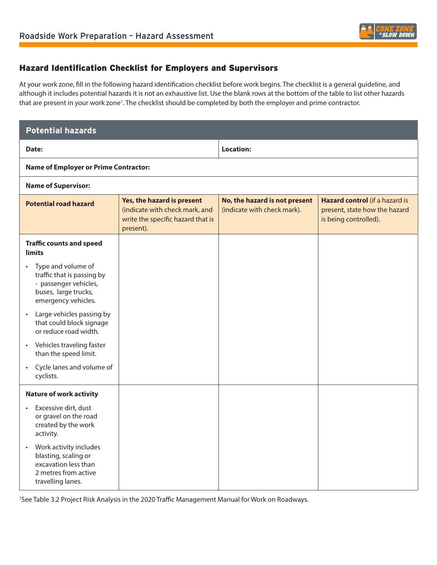

#### Hazard Identification Checklist for Employers and Supervisors

At your work zone, fill in the following hazard identification checklist before work begins. The checklist is a general guideline, and although it includes potential hazards it is not an exhaustive list. Use the blank rows at the bottom of the table to list other hazards that are present in your work zone<sup>1</sup>. The checklist should be completed by both the employer and prime contractor.

| <b>Potential hazards</b>                                                                                                              |                                                                                                                |                                                              |                                                                                          |  |  |
|---------------------------------------------------------------------------------------------------------------------------------------|----------------------------------------------------------------------------------------------------------------|--------------------------------------------------------------|------------------------------------------------------------------------------------------|--|--|
| Date:                                                                                                                                 |                                                                                                                | <b>Location:</b>                                             |                                                                                          |  |  |
| <b>Name of Employer or Prime Contractor:</b>                                                                                          |                                                                                                                |                                                              |                                                                                          |  |  |
| <b>Name of Supervisor:</b>                                                                                                            |                                                                                                                |                                                              |                                                                                          |  |  |
| <b>Potential road hazard</b>                                                                                                          | Yes, the hazard is present<br>(indicate with check mark, and<br>write the specific hazard that is<br>present). | No, the hazard is not present<br>(indicate with check mark). | Hazard control (if a hazard is<br>present, state how the hazard<br>is being controlled). |  |  |
| <b>Traffic counts and speed</b><br>limits                                                                                             |                                                                                                                |                                                              |                                                                                          |  |  |
| Type and volume of<br>$\bullet$<br>traffic that is passing by<br>- passenger vehicles,<br>buses, large trucks,<br>emergency vehicles. |                                                                                                                |                                                              |                                                                                          |  |  |
| Large vehicles passing by<br>$\bullet$<br>that could block signage<br>or reduce road width.                                           |                                                                                                                |                                                              |                                                                                          |  |  |
| Vehicles traveling faster<br>$\bullet$<br>than the speed limit.                                                                       |                                                                                                                |                                                              |                                                                                          |  |  |
| • Cycle lanes and volume of<br>cyclists.                                                                                              |                                                                                                                |                                                              |                                                                                          |  |  |
| <b>Nature of work activity</b>                                                                                                        |                                                                                                                |                                                              |                                                                                          |  |  |
| Excessive dirt, dust<br>$\bullet$<br>or gravel on the road<br>created by the work<br>activity.                                        |                                                                                                                |                                                              |                                                                                          |  |  |
| Work activity includes<br>$\bullet$<br>blasting, scaling or<br>excavation less than<br>2 metres from active<br>travelling lanes.      |                                                                                                                |                                                              |                                                                                          |  |  |

1 See Table 3.2 Project Risk Analysis in the 2020 Traffic Management Manual for Work on Roadways.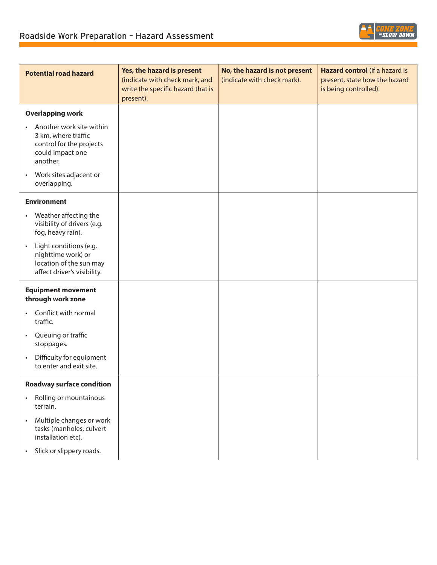

**SLOW DOWN** 

• Slick or slippery roads.